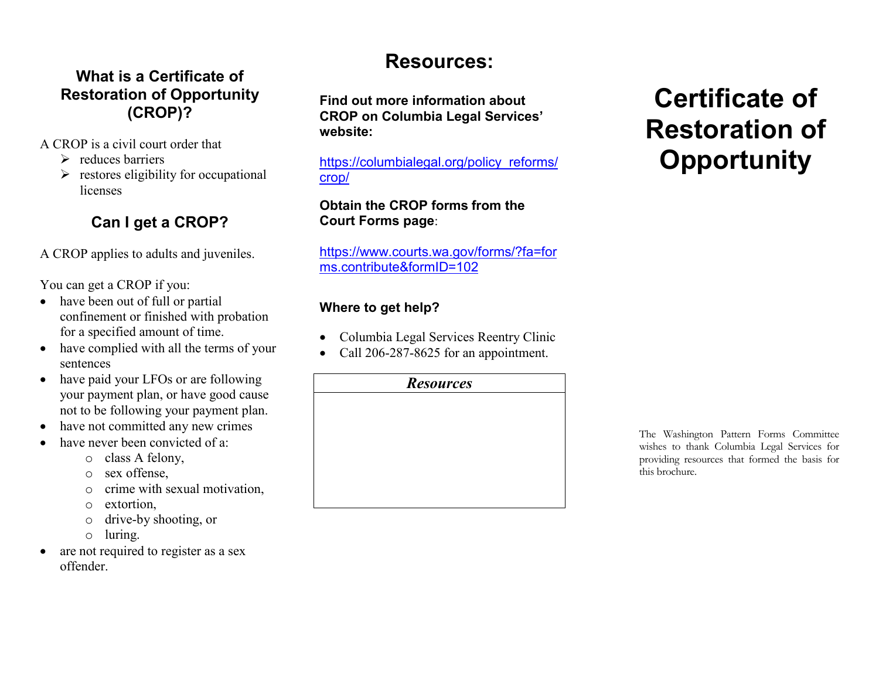#### **What is a Certificate of Restoration of Opportunity (CROP)?**

- A CROP is a civil court order that
	- $\triangleright$  reduces barriers
	- $\triangleright$  restores eligibility for occupational licenses

#### **Can I get a CROP?**

A CROP applies to adults and juveniles.

You can get a CROP if you:

- have been out of full or partial confinement or finished with probation for a specified amount of time.
- have complied with all the terms of your sentences
- have paid your LFOs or are following your payment plan, or have good cause not to be following your payment plan.
- $\bullet$ have not committed any new crimes
- $\bullet$  have never been convicted of a:
	- $\circ$  class A felony,
	- $\circ$  sex offense,
	- o crime with sexual motivation,
	- $\circ$  extortion,
	- o drive-by shooting, or
	- o luring.
- $\bullet$  are not required to register as a sex offender.

# **Resources:**

**Find out more information about CROP on Columbia Legal Services' website:** 

https://columbialegal.org/policy\_reforms/crop/

#### **Obtain the CROP forms from the Court Forms page**:

https://www.courts.wa.gov/forms/?fa=forms.contribute&formID=102

#### **Where to get help?**

- $\bullet$ Columbia Legal Services Reentry Clinic
- $\bullet$ Call 206-287-8625 for an appointment.

#### *Resources*

# **Certificate of Restoration of Opportunity**

The Washington Pattern Forms Committee wishes to thank Columbia Legal Services for providing resources that formed the basis for this brochure.